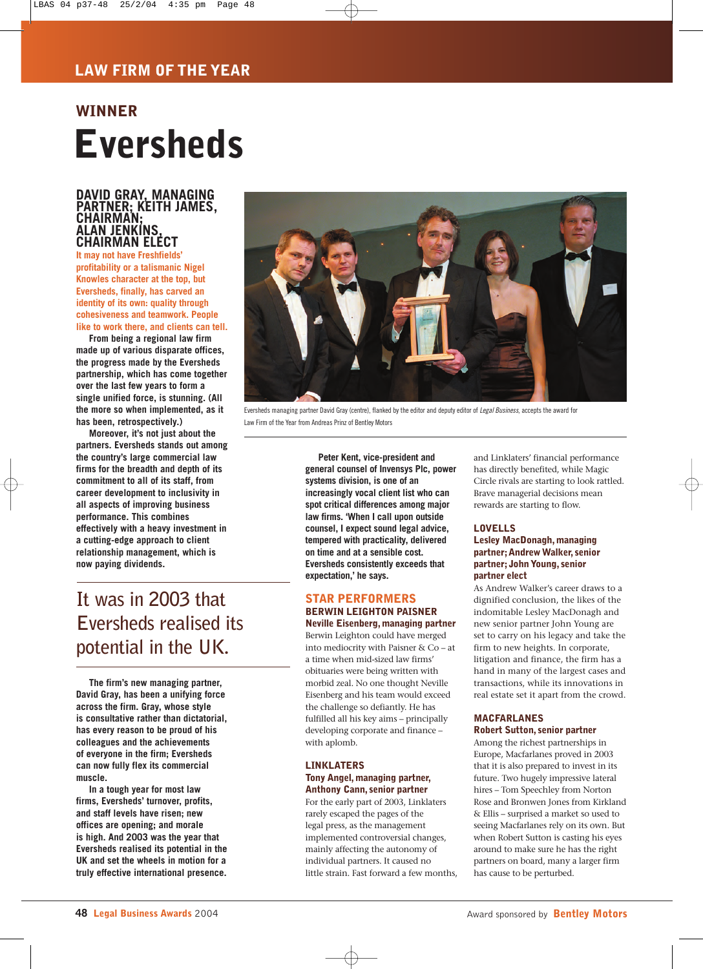# **Eversheds WINNER**

### **DAVID GRAY, MANAGING PARTNER; KEITH JAMES, CHAIRMAN; ALAN JENKINS, CHAIRMAN ELECT**

**It may not have Freshfields' profitability or a talismanic Nigel Knowles character at the top, but Eversheds, finally, has carved an identity of its own: quality through cohesiveness and teamwork. People like to work there, and clients can tell.** 

**From being a regional law firm made up of various disparate offices, the progress made by the Eversheds partnership, which has come together over the last few years to form a single unified force, is stunning. (All the more so when implemented, as it has been, retrospectively.)**

**Moreover, it's not just about the partners. Eversheds stands out among the country's large commercial law firms for the breadth and depth of its commitment to all of its staff, from career development to inclusivity in all aspects of improving business performance. This combines effectively with a heavy investment in a cutting-edge approach to client relationship management, which is now paying dividends.** 



Eversheds managing partner David Gray (centre), flanked by the editor and deputy editor of *Legal Business*, accepts the award for Law Firm of the Year from Andreas Prinz of Bentley Motors

**Peter Kent, vice-president and general counsel of Invensys Plc, power systems division, is one of an increasingly vocal client list who can spot critical differences among major law firms. 'When I call upon outside counsel, I expect sound legal advice, tempered with practicality, delivered on time and at a sensible cost. Eversheds consistently exceeds that expectation,' he says.**

### **STAR PERFORMERS BERWIN LEIGHTON PAISNER**

**Neville Eisenberg, managing partner** Berwin Leighton could have merged into mediocrity with Paisner & Co – at a time when mid-sized law firms' obituaries were being written with morbid zeal. No one thought Neville Eisenberg and his team would exceed the challenge so defiantly. He has fulfilled all his key aims – principally developing corporate and finance – with aplomb.

#### **LINKLATERS Tony Angel, managing partner, Anthony Cann, senior partner**

For the early part of 2003, Linklaters rarely escaped the pages of the legal press, as the management implemented controversial changes, mainly affecting the autonomy of individual partners. It caused no little strain. Fast forward a few months,

and Linklaters' financial performance has directly benefited, while Magic Circle rivals are starting to look rattled. Brave managerial decisions mean rewards are starting to flow.

### **LOVELLS Lesley MacDonagh, managing**

#### **partner;Andrew Walker, senior partner; John Young, senior partner elect**

As Andrew Walker's career draws to a dignified conclusion, the likes of the indomitable Lesley MacDonagh and new senior partner John Young are set to carry on his legacy and take the firm to new heights. In corporate, litigation and finance, the firm has a hand in many of the largest cases and transactions, while its innovations in real estate set it apart from the crowd.

### **MACFARLANES Robert Sutton, senior partner**

Among the richest partnerships in Europe, Macfarlanes proved in 2003 that it is also prepared to invest in its future. Two hugely impressive lateral hires – Tom Speechley from Norton Rose and Bronwen Jones from Kirkland & Ellis – surprised a market so used to seeing Macfarlanes rely on its own. But when Robert Sutton is casting his eyes around to make sure he has the right partners on board, many a larger firm has cause to be perturbed.

## **It was in 2003 that Eversheds realised its potential in the UK.**

**The firm's new managing partner, David Gray, has been a unifying force across the firm. Gray, whose style is consultative rather than dictatorial, has every reason to be proud of his colleagues and the achievements of everyone in the firm; Eversheds can now fully flex its commercial muscle.** 

**In a tough year for most law firms, Eversheds' turnover, profits, and staff levels have risen; new offices are opening; and morale is high. And 2003 was the year that Eversheds realised its potential in the UK and set the wheels in motion for a truly effective international presence.**